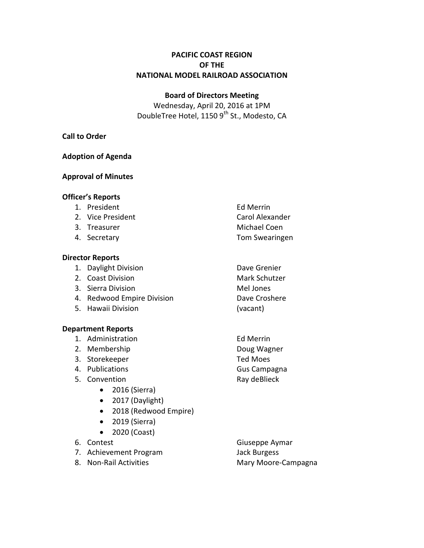# **PACIFIC COAST REGION OF THE NATIONAL MODEL RAILROAD ASSOCIATION**

## **Board of Directors Meeting**

Wednesday, April 20, 2016 at 1PM DoubleTree Hotel, 1150 9<sup>th</sup> St., Modesto, CA

## **Call to Order**

## **Adoption of Agenda**

# **Approval of Minutes**

## **Officer's Reports**

- 1. President Ed Merrin
- 2. Vice President **Carol Alexander**
- 
- 

## **Director Reports**

- 1. Daylight Division **Dave Grenier**
- 2. Coast Division **Mark Schutzer** Mark Schutzer
- 3. Sierra Division and Mel Jones
- 4. Redwood Empire Division **Dave Croshere**
- 5. Hawaii Division (vacant)

# **Department Reports**

- 1. Administration Ed Merrin
- 2. Membership Doug Wagner
- 3. Storekeeper Ted Moes
- 4. Publications **Gus Campagna**
- 5. Convention **Ray deBlieck** 
	- 2016 (Sierra)
	- 2017 (Daylight)
	- 2018 (Redwood Empire)
	- 2019 (Sierra)
	- 2020 (Coast)
- 
- 7. Achievement Program Jack Burgess
- 
- 3. Treasurer Michael Coen 4. Secretary Tom Swearingen
	-
	-
- 6. Contest Giuseppe Aymar 8. Non-Rail Activities Mary Moore-Campagna